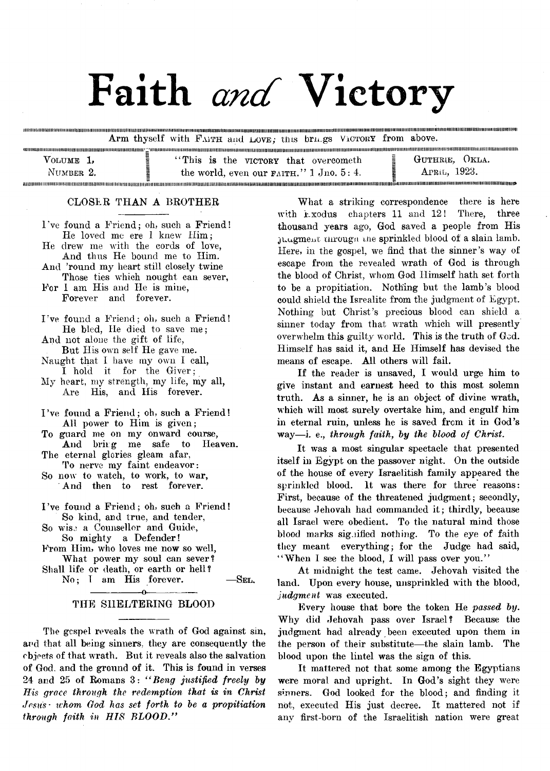# Faith *and* Victory

.<br>Biothamarano arabitanta a tara a antara a composito a composito a composito a composito a composito a composit **Arm thyself with F aith and IjOVe ; tins brn.gs Victory from above.**

| $V_{\text{OLUME}}$ 1, | "This is the victory that overcometh"                 | GUTHRIE, OKLA. |
|-----------------------|-------------------------------------------------------|----------------|
| NUMBER 2.             | the world, even our $F_{\text{AITH}}$ ." 1 Jno. 5: 4. | APRIL, 1923.   |
|                       |                                                       |                |

### **CLOSER THAN A BROTHER**

8000000000000000000000000

**I've found a Friend; oh, such a Friend!**

**THOMAS DESCRIPTION OF A SERVICE OF A SERVICE OF A SERVICE OF A SERVICE OF A SERVICE OF A SERVICE OF A SERVICE O** 

**He loved me ere I knew Him; He drew me with the cords of love, And thus He bound me to Him. And 'round my heart still closely twine Those ties which nought can sever, For 1 am His and He is mine, Forever and forever. I 've found a Friend; oh, such a Friend! He bled, He died to save me; And not alone the gift of life, But His own self He gave me. Naught that I have my own I call, I hold it for the Giver; My heart, my strength, my life, my all, Are His, and His forever. I 've found a Friend; oh, such a Friend! All power to Him is given; To guard me on my onward course,** And bring me safe **The eternal glories gleam afar. To nerve my faint endeavor: So now to watch, to work, to war, And then to rest forever. I 've found a Friend; oh, such a Friend! So kind, and true, and tender, So wise a Counsellor and Guide, So mighty a Defender! From Him, who loves me now so well, What power my soul can sever? Shall life or death, or earth or hell?** No; I am His forever.  $-$ SEL.

## **--------------- o--------------- THE SHELTERING BLOOD**

**The gcspel reveals the wrath of God against sin, and that all being sinners, they are consequently the objects of that wrath. But it reveals also the salvation of God. and the ground of it. This is found in verses 24 and 25 of Romans 3:** *" Beng justified freely lay His grace through the redemption that is in Christ Jesus■ whom God has set forth to be a propitiation through faith in HIS BLOOD."*

**What a striking correspondence there is here with Exodus chapters 11 and 12! There, three thousand years ago, God saved a people from His juugment uirougn me sprinkled blood of a slain lamb. Here, in the gospel, we find that the sinner's way of escape from the revealed wrath of God is through the blood of Christ, whom God Himself hath set forth to be a propitiation. Nothing but the lamb's blood could shield the Isrealite from the judgment of Egypt. Nothing but Christ's precious blood can shield a sinner today from that wrath which will presently overwhelm this guilty world. This is the truth of God. Himself has said it, and He Himself has devised the means of escape. All others will fail.**

**MUROBOLOGIO)** 

**If the reader is unsaved, I would urge him to give instant and earnest heed to this most solemn truth. As a sinner, he is an object of divine wrath, which will most surely overtake him, and engulf him in eternal ruin, unless he is saved from it in God's way—i. e.,** *through faith, by the blood of Christ.*

**It was a most singular spectacle that presented itself in Egypt on the passover night. On the outside of the house of every Israelitish family appeared the sprinkled blood. It was there for three reasons: First, because of the threatened judgment; secondly, because Jehovah had commanded it; thirdly, because all Israel were obedient. To the natural mind those blood marks signified nothing. To the eye of faith they meant everything; for the Judge had said, " When I see the blood, I will pass over you."**

**At midnight the test came. Jehovah visited the land. Upon every house, unsprinkled with the blood,** *judgment* **was executed.**

**Every house that bore the token He** *passed by.* **Why did Jehovah pass over Israel? Because the judgment had already been executed upon them in the person of their substitute—the slain lamb. The blood upon the lintel was the sign of this.**

**It mattered not that some among the Egyptians were moral and upright. In God's sight they were sinners. God looked for the blood; and finding it not, executed His just decree. It mattered not if any first-born of the Israelitish nation were great**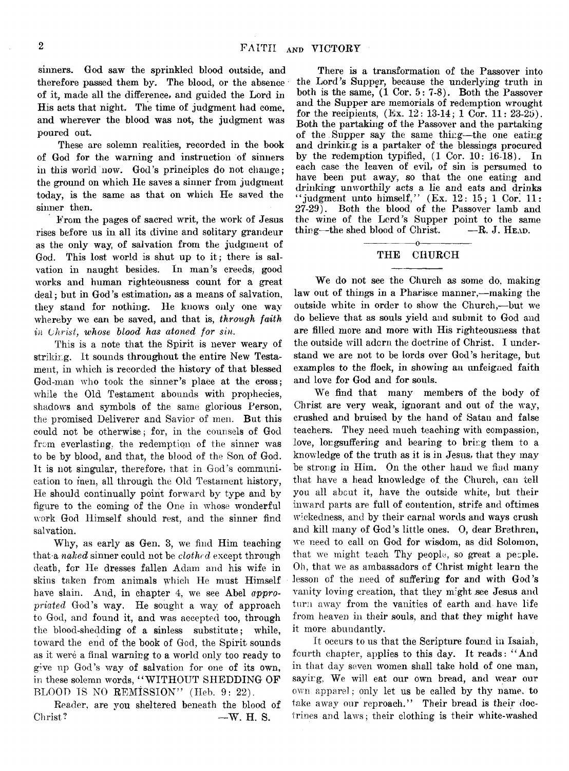**sinners. God saw the sprinkled blood outside, and therefore passed them by. The blood, or the absence of it, made all the difference, and guided the Lord in His acts that night. The time of judgment had come, and wherever the blood was not, the judgment was poured out.**

**These are solemn realities, recorded in the book of God for the warning and instruction of sinners in this world now. God's principles do not change; the ground on which He saves a sinner from judgment today, is the same as that on which He saved the sinner then.**

**From the pages of sacred writ, the work of Jesus rises before us in all its divine and solitary grandeur as the only way, of salvation from the judgment of God. This lost world is shut up to it; there is salvation in naught besides. In man's creeds, good works and human righteousness count for a great deal; but in God's estimation, as a means of salvation, they stand for nothing. He knows only one way** whereby we can be saved, and that is, *through faith in Christ, whose Mood has atoned for sin.*

**This is a note that the Spirit is never weary of striking. It sounds throughout the entire New Testament, in which is recorded the history of that blessed God-man who took the sinner's place at the cross; while the Old Testament abounds with prophecies, shadows and symbols of the same glorious Person, the promised Deliverer and Savior of men. But this could not be otherwise; for, in the counsels of God from everlasting, the redemption of the sinner was to be by blood, arid that, the blood of the Son of God. It is not singular, therefore, that in God's communication to men, all through the Old Testament history, He should continually point forward by type and by figure to the coming of the One in whose wonderful work God Himself should rest, and the sinner find salvation.**

**Why, as early as Gen. 3, we find Him teaching that-a** *naked* **sinner could not be** *clothed,* **except through death, for He dresses fallen Adam and his wife in** skins taken from animals which He must Himself have slain. And, in chapter 4, we see Abel *appropriated* **God's way. He sought a way of approach to God, and found it, and was accepted too, through the blood-shedding of a sinless substitute; while, toward the end of the book of God, the Spirit sounds as it were a final warning to a world only too ready to give up God's way of salvation for one of its own, in these solemn words, " WITHOUT SHEDDING OF** BLOOD IS NO **REMISSION**" (Heb. 9: 22).

**Reader, are you sheltered beneath the blood of** Christ? **—W. H. S.** 

**There is a transformation of the Passover into the Lord's Supper, because the underlying truth in both is the same, (1 Cor. 5: 7-8). Both the Passover and the Supper are memorials of redemption wrought for the recipients, (Ex. 12: 13-14; 1 Cor. 11: 23-29). Both the partaking of the Passover and the partaking** of the Supper say the same thing—the one eating **and drinking is a partaker of the blessings procured by the redemption typified, (1 Cor. 10: 16-18). In each case the leaven of evil, of sin is persumed to have been put away, so that the one eating and drinking unworthily acts a lie and eats and drinks** "*judgment unto himself,"* (Ex. 12: 15; 1 Cor. 11: 27-29). Both the blood of the Passover lamb and **27-29). Both the blood of the Passover Iamb and** the wine of the Lord's Supper point to the same thing—the shed blood of Christ. —**R**. J. HEAD.  $t^{\text{hing}}$ —the shed blood of Christ.

## **---------------o--------------- THE CHURCH**

**We do not see the Church as some do, making law out of things in a Pharisee manner,—making the outside white in order to show the Church,-—but we do believe that as souls yield and submit to God and are filled more and more with His righteousness that the outside will adorn the doctrine of Christ. I understand we are not to be lords over God's heritage, but examples to the flock, in showing an unfeigned faith and love for God and for souls.**

**We find that many members of the body of Christ are very weak, ignorant and out of the way, crushed and bruised by the hand of Satan and false teachers. They need much teaching with compassion,** love, lorgsuffering and bearing to bring them to a **knowledge of the truth as it is in Jesus, that they may be strong in Him. On the other hand we find many that have a head knowledge of the Church, can tell you all about it, have the outside white, but their inward parts are full of contention, strife and oftimes wickedness, and by their carnal words and ways crush and kill many of God's little ones. O, dear Brethren, we need to call on God for wisdom, as did Solomon, that we might teach Thy people, so great a people. Oh, that we as ambassadors of Christ might learn the lesson of the need of suffering for and with God's vanity loving creation, that they might see Jesus and turn away from the vanities of earth and have life from heaven in their souls, and that they might have it more abundantly.**

**It occurs to us that the Scripture found in Isaiah, fourth chapter, applies to this day. It reads: " And in that day seven women shall take hold of one man, saying, We will eat our own bread, and wear our own apparel; only let us be called by thv name, to take away our reproach." Their bread is their doctrines and laws; their clothing is their white-washed**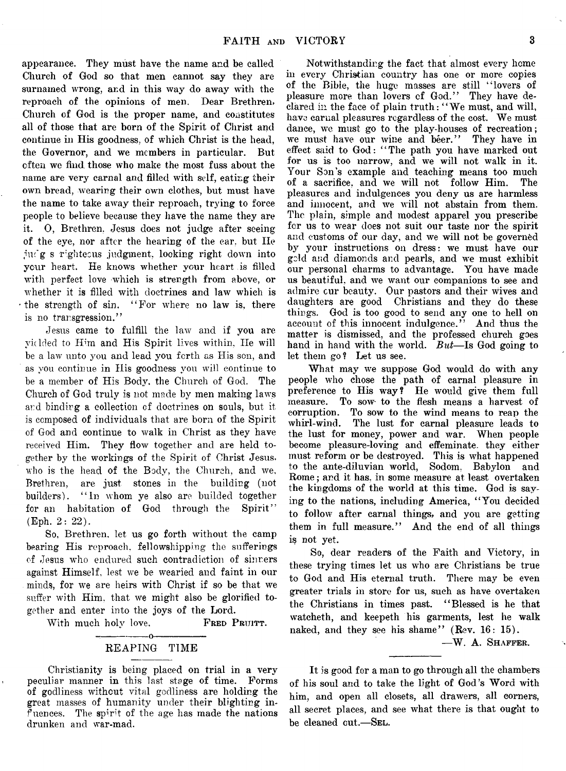**appearance. They must have the name and be called Church of God so that men cannot say they are surnamed wrong, and in this way do away with the reproach of the opinions of men. Dear Brethren, Church of God is the proper name, and constitutes all of those that are born of the Spirit of Christ and continue in His goodness, of which Christ is the head, the Governor, and we members in particular. But often we find those who make the most fuss about the name are very carnal and filled with self, eating their own bread, wearing their own clothes, but must have the name to take away their reproach, trying to force people to believe because they have the name they are** it. O, Brethren, Jesus does not judge after seeing **of the eye, nor after the hearing of the ear, but He jiu'g s righteous judgment, looking right down into your heart. He knows whether your heart is filled with perfect love which is strength from above, or whether it is filled with doctrines and law which is the strength of sin. " For where no law is, there is no transgression."**

**Jesus came to fulfill the law and if you are** vidded to Him and His Spirit lives within, He will **be a law unto you and lead you forth as His son, and as you continue in His goodness you will continue to be a member of His Body, the Church of God. The Church of God truly is not made by men making laws and binding a collection of doctrines on souls, but it is composed of individuals that are born of the Spirit of God and continue to walk in Christ as they have received Him. They flow together and are held together by the workings of the Spirit of Christ Jesus, who is the head of the Body, the Church, and we, Brethren, are just stones in the building (not** builders). "In whom ye also are builded together **for an habitation of God through the Spirit" (Eph. 2: 22).**

**So, Brethren, let us go forth without the camp bearing His reproach, fellowshipping the sufferings of Jesus who endured such contradiction of sinners against Himself, lest we be wearied and faint in our minds, for we are heirs with Christ if so be that we suffer with Him. that we might also be glorified together and enter into the joys of the Lord.**

With much holy love. **FRED PRUITT.** 

## **-------------- o--------------- REAPING TIME**

**Christianity is being placed on trial in a very peculiar manner in this last stage of time. Forms of godliness without vital godliness are holding the great masses of humanity under their blighting influences. The spirit of the age has made the nations drunken and war-mad.**

**Notwithstanding the fact that almost every home in every Christian country has one or more copies of the Bible, the huge masses are still " lovers of pleasure more than lovers of God." They have declared in the face of plain truth: " We must, and will, have carnal pleasures regardless of the cost. We must dance, we must go to the play-houses of recreation; we must have our wine and beer." They have in effect said to God: ' ' The path you have marked out for us is too narrow, and we will not walk in it. Your Son's example and teaching means too much** of a sacrifice, and we will not follow Him. **pleasures and indulgences you deny us are harmless and innocent, and we will not abstain from them. The plain, simple and modest apparel you prescribe for us to wear does not suit our taste nor the spirit and customs of our day, and we will not be governed by your instructions on dress: we must have our geld a:;d diamonds and pearls, and we must exhibit our personal charms to advantage. You have made us beautiful, and we want our companions to see and admire cur beauty. Our pastors and their wives and daughters are good Christians and they do these things. God is too good to send any one to hell on account of this innocent indulgence." And thus the matter is dismissed, and the professed church goes hand in hand with the world.** *But***—Is God going to let them go? Let us see.**

**What may we suppose God would do with any people who chose the path of carnal pleasure in preference to His way? He would give them full measure. To sow- to the flesh means a harvest of corruption. To sow to the wind means to reap the whirl-wind. The lust for carnal pleasure leads to the lust for money, power and war. When people become pleasure-loving and effeminate, they either must reform or be destroyed. This is what happened to the ante-diluvian world, Sodom, Babylon and Rome; and it has, in some measure at least overtaken the kingdoms of the world at this time. God is saying to the nations, including America, " You decided to follow after carnal things, and you are getting them in full measure." And the end of all things** is not yet.

**So, dear readers of the Faith and Victory, in these trying times let us who are Christians be true to God and His eternal truth. There may be even greater trials in store for us, such as have overtaken the Christians in times past. " Blessed is he that watcheth, and keepeth his garments, lest he walk naked, and they see his shame" (Rev. 16: 15).**

**—W. A. Shaffer.**

**It is good for a man to go through all the chambers of his soul and to take the light of God's Word with him, and open all closets, all drawers, all corners, all secret places, and see what there is that ought to be cleaned out.—Sel.**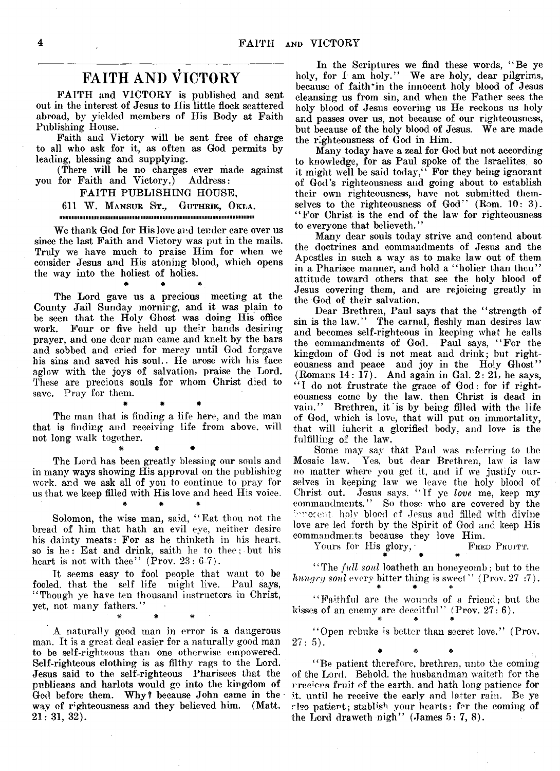## **FAITH AND VICTORY**

**FAITH and VICTORY is published and sent out in the interest of Jesus to His little flock scattered abroad, by yielded members of His Body at Faith Publishing House.**

**Faith and Victory will be sent free of charge to all who ask for it, as often as God permits by leading, blessing and supplying.**

**(There will be no charges ever made against you for Faith and Victory.) Address:**

### **FAITH PUBLISHING HOUSE,**

#### **611 W . Mansur St., Guthrie, Okla.** tmiiiiiiimmiimitiiiiimiiimiimmitiiimmiiiimiiiiiiiimiiiimimiitiiiiJiimimiiiiimimimiimi

**We thank God for His love and tender care over us since the last Faith and Victory was put in the mails. Truly we have much to praise Him for when we consider Jesus and His atoning blood, which opens the way into the holiest of holies.**

\* \* \*

**The Lord gave us a precious meeting at the County Jail Sunday morning, and it was plain to be seen that the Holy Ghost was doing His office work. Four or five held up their hands desiring prayer, and one dear man came and knelt by the bars and sobbed and cried for mercy until God forgave his sins and saved his soul.. He arose with his face aglow with the joys of salvation, praise the Lord. These are precious souls for whom Christ died to save. Pray for them.**

*\* \** \*

**The man that is finding a life here, and the man that is finding and receiving life from above, will not long walk together.**

\* \* \*

**The Lord has been greatly blessing our souls and in many ways showing His approval on the publishing work, and we ask all of you to continue to pray for us that we keep filled with His love and heed His voice.**

**#** *\* \**

**Solomon, the wise man, said, " Eat thou not the bread of him that hath an evil eye, neither desire his dainty meats: For as he thinketh in his heart, so is he: Eat and drink, saith he to thee; but his heart is not with thee" (Prov. 23: 6-7).**

**It seems easy to fool people that want to be fooled, that the self life might live. Paul says, " Though ye have ten thousand instructors in Christ, yet, not many fathers."**

• *\* \**

*A* **naturally good man in error is a dangerous man. It is a great deal easier for a naturally good man to be self-righteous than one otherwise empowered. Self-righteous clothing is as filthy rags to the Lord. Jesus said to the self-righteous Pharisees that the publicans and harlots would go into the kingdom of God before them. Why? because John came in the wav of righteousness and they believed him. (Matt. 211 31, 32).**

**In the Scriptures we find these words, " Be ye holy, for I am holy." We are holy, dear pilgrims, because of faith\*in the innocent holy blood of Jesus cleansing us from sin, and when the Father sees the holy blood of Jesus covering us He reckons us holy and passes over us, not because of our righteousness, but because of the holy blood of Jesus. We are made the righteousness of God in Him.**

**Many today have a zeal for God but not according to knowledge, for as Paul spoke of the Israelites so it might well be said today/ ' For they being ignorant of God's righteousness and going about to establish their own righteousness, have not submitted themselves to the righteousness of God" (Rom. 10: 3). " For Christ is the end of the law for righteousness to everyone that believeth."**

**Many dear souls today strive and contend about the doctrines and commandments of Jesus and the Apostles in such a way as to make law out of them in a Pharisee manner, and hold a " holier than thcu" attitude toward others that see the holy blood of Jesus covering them, and are rejoicing greatly in the God of their salvation.**

**Dear Brethren, Paul says that the " strength of sin is the law." The carnal, fleshly man desires law and becomes self-righteous in keeping what he calls** the commandments of God. Paul says, "For the **kingdom of God is not meat and drink; but righteousness and peace and joy in the Holy Ghost" (Romans 14: 17). And again in Gal. 2: 21, he says,** "I do not frustrate the grace of God: for if right**eousness come by the law. then Christ is dead in** vain.'' Brethren, it is by being filled with the life **of God, which is love, that will put on immortality, that will inherit a glorified body, and love is the fulfilling of the law.**

**Some may say that Paul was referring to the Mosaic law. Yes, but dear Brethren, law is law no matter where you get it, and if we justify ourselves in keeping law we leave the holy blood of Christ out. Jesus says. " If ye** *love* **me, keep my commandments." So those who are covered by the '•••rocey.t holy blood of Jesus and filled with divine love are led forth by the Spirit of God and keep His**

**commandments because they love Him.**<br>Yours for His glory. FRED PRUITT. Yours for His glory,

*\* '* # \* **" The** *full soul* **loatheth an honeycomb; but to the** *hungry sonl* every bitter thing is sweet" (Prov. 27:7).

**" Faithful are the wounds of a friend; but the** kisses of an enemy are deceitful" (Prov. 27: 6).

**" Open rebuke is better than secret love." (Prov. 27: 5). # \* \***

**" Be patient therefore, brethren, unto the coming of the Lord. Behold, the husbandman waiteth for the rrec'crs fruit of the earth, and hath long patience for it. until he receive the early and latter rain. Be ye rise patient; stablish your hearts: for the coming of the Lord draweth nigh" (James 5: 7, 8).**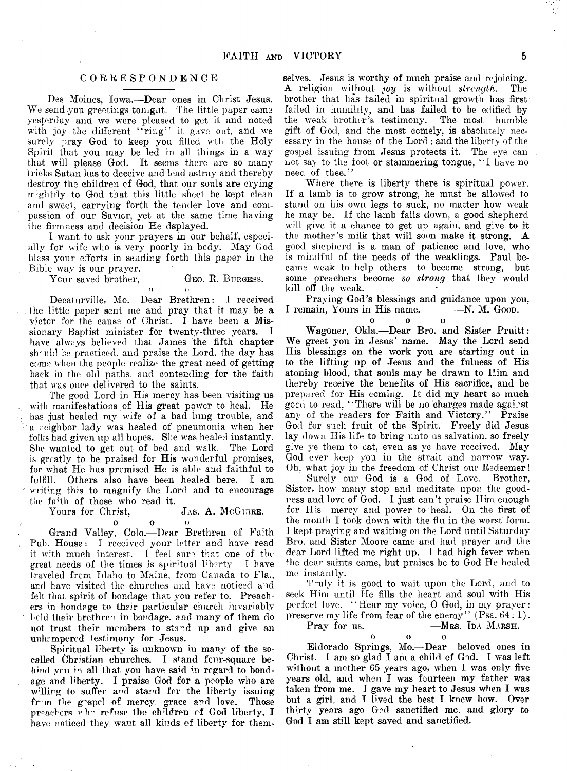## **CORRESPONDENCE**

**Des Moines, Iowa.—Dear ones in Christ Jesus. We send you greetings tomgnt. The little paper came yesterday and we were pleased to get it and noted with joy the different ''ring" it gave out, and we surely pray God to keep you filled wth the Holy Spirit that you may be led in all things in a way that will please God. It seems there are so many tricks Satan has to deceive and lead astray and thereby destroy the children cf God, that our souls are crying mightily to God that this little sheet be kept clean** and sweet, carrying forth the tender love and com**passion of our Savior, yet at the same time having the firmness and decision He dsplayed.**

**I want to ask your prayers in our behalf, especially for wife who is very poorly in body. May God bless your efforts in sending forth this paper in the Bible way is our prayer.**

Your saved brother, GEO. R. BURGESS.

**O ( >**

**Decaturville, Mo.—Dear Brethren: I received the little paper sent me and pray that it may be a victor for the cause of Christ. I have been a Mis**sionary Baptist minister for twenty-three years. **have always believed that James the fifth chapter sh'iilcl be practiced, and praise the Lord, the day has come when the people realize the great need of getting back in the old paths, and contending for the faith that was once delivered to the saints.**

**The good Lord in His mercy has been visiting us with manifestations of His great power to heal. He has just healed my wife of a bad lung trouble, and a reighbor lady was healed of pneumonia when her folks had given up all hopes. She was healed instantly. She wanted to get out of bed and walk. The Lord is greatly to be praised for His wonderful promises, for what He has premised He is able and faithful to** Others also have been healed here. I am **writing this to magnify the Lord and to encourage the fa'th of those who read it.**

## $J$ As. A. McGUIRE.

**o o o Grand Valley, Colo.—Dear Brethren cf Faith Pub. House: I received your letter and have read** it with much interest. I feel sure that one of the **great** needs of the times is spiritual liberty. I have great needs of the times is spiritual liberty **traveled from Idaho to Maine, from. Canada to Fla., and have visited the churches and have noticed and felt that spirit of bondage that you refer to. Preachers in bondage to their particular church invariably held their brethren, in bondage, and many of them do** not trust their members to stand up and give an unhampered testimony for Jesus.

**Spiritual liberty is unknown iu many of the so**called Christian churches. I stand four-square be**hind you in all that you have said in regard to bondage and liberty. I praise God for a people who are** willing to suffer and stand for the liberty issuing **fr~m the g'sprl of mercy, grace and love. Those** preachers who refuse the children of God liberty, I have noticed they want all kinds of liberty for them-

**selves. Jesus is worthy of much praise and rejoicing. A religion without** *joy* **is without** *strength.* **The brother that has failed in spiritual growth has first** failed in humility, and has failed to be edified by the weak brother's testimony. The most humble the weak brother's testimony. **gift of God, and the most comely, is absolutely necessary in the house of the Lord ; and the liberty of the gospel issuing from Jesus protects it. The eye can not say to the toot or stammering tongue, " 1 have no need of thee."**

**Where there is liberty there is spiritual power. If a lamb is to grow strong, he must be allowed to stand on his own legs to suck, no matter how weak he may be. If the lamb falls down, a good shepherd will give it a chance to get up again, and give to it the mother's milk that will soon make it strong. A good shepherd is a man of patience and love, who is mindful of the needs of the weaklings. Paul became weak to help others to become strong, but some preachers become** *so strong* **that they would kill off the weak.**

**Praying God's blessings and guidance upon you,** I remain, Yours in His name.

o o o

**Wagoner, Okla.—Dear Bro. and Sister Pruitt: We greet you in Jesus' name. May the Lord send His blessings on the work you are starting out in to the lifting up of Jesus and the fulness of His atoning blood, that souls may be drawn to Him and thereby receive the benefits of His sacrifice, and be prepared for His coming. It did my heart so much geed to read, ' ' There will be no charges made against any of the readers for Faith and Victory." Praise God for such fruit of the Spirit. Freely did Jesus lay down Ilis life to bring unto us salvation, so freely give ye them to eat, even as ye have received. May God ever keep you in the strait and narrow way. Oh, what joy in the freedom of Christ our Redeemer!**

**Surely our God is a God of Love. Brother,** Sister, how many stop and meditate upon the good**ness and love of God. I just can't praise Him enough for His mercy and power to heal. On the first of the month I took down with the flu in the worst form. I kept praying and waiting on the Lord until Saturday Bro. and Sister Moore came and had prayer and the dear Lord lifted me right up. I had high fever when the dear saints came, but praises be to God He healed me instantly.**

**Truly it is good to wait upon the Lord, and to seek Him until He fills the heart and soul with His perfect love. " Hear my voice, 0 God, in my prayer: preserve my life from fear of the enemy" (Psa. 64: 1).**

Pray for us.  $-MRS$ . IDA MARSH.

**ooo**

**Eldorado Springs, Mo.—Dear beloved ones in Christ. I am so glad I am a child cf God. T was left without a mother 65 years ago, when I was only five years old, and when I was fourteen my father was taken from me. I gave my heart to Jesus when I was but a girl, and T lived the best I knew how. Over thirty years ago God sanctified me, and glory to God I am still kept saved and sanctified.**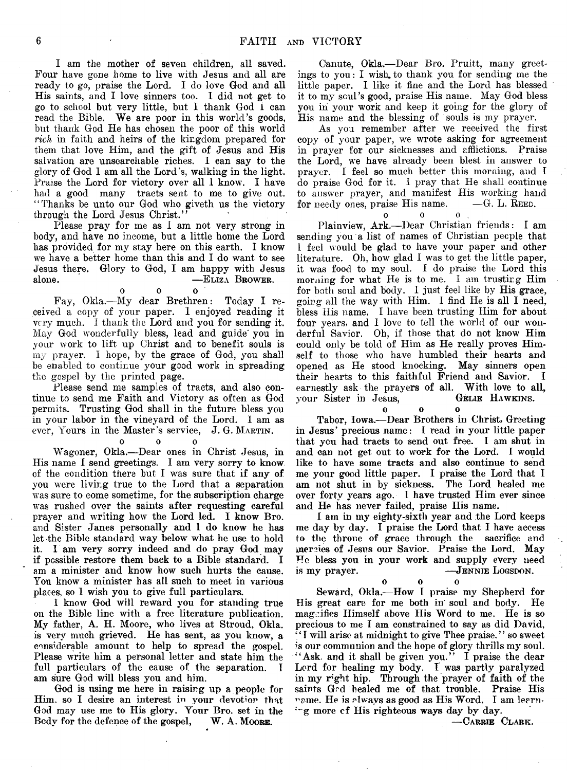**I am the mother of seven children, all saved. Four have gone home to live with Jesus and all are ready to go, praise the Lord. I do love God and all His saints, and I love sinners too. 1 did not get to go to school but very little, but I thank God 1 can read the Bible. We are poor in this world's goods, but thank God He has chosen the poor of this world** *rich* **in faith and heirs of the kingdom prepared for them that love Him, and the gift of Jesus and His salvation are unsearchable riches. I can say to the glory of God I am all the Lord's, walking in the light.** Praise the Lord for victory over all I know. I have **had a good many tracts sent to me to give out. ' ' Thanks be unto our God who giveth us the victory through the Lord Jesus Christ."**

**Please pray for me as I am not very strong in body, and have no income, but a little home the Lord has provided, for my stay here on this earth. I know we have a better home than this and I do want to see Jesus there. Glory to God, I am happy with Jesus alone. —Eliza B rower.**

o o o

**Fay, Okla.—My dear Brethren: Today I received a copy of your paper. I enjoyed reading it very much. I thank the Lord and you for sending it. May God wonderfully bless, lead and guide' you in your work to lift up Christ and to benefit souls is my prayer. I hope, by the grace of God, you shall be enabled to continue your good work in spreading the gospel by the printed page.**

**Please send me samples of tracts, and also continue to send me Faith and Victory as often as God permits. Trusting God shall in the future bless you in your labor in the vineyard of the Lord. I am as ever, Yours in the Master's service, J. G. Martin.**

**0 0 0**

**Wagoner, Okla.—Dear ones in Christ Jesus, in His name I send greetings. I am very sorry to know of the condition there but I was sure that if any of you were living true to the Lord that a separation was sure to come sometime, for the subscription charge was rushed over the saints after requesting careful prayer and writing how the Lord led. I know Bro. and Sister Janes personally and 1 do know he has let the Bible standard way below what he use to hold it. I am very sorry indeed and do pray God may if possible restore them back to a Bible standard. I am a minister and know how such hurts the cause. You know a minister has all such to meet in various places, so I wish you to give full particulars.**

**I know God will reward you for standing true on the Bible line with a free literature publication. My father, A. H. Moore, who lives at Stroud, Okla. is very much grieved. He has sent, as you know, a considerable amount to help to spread the gospel. Please write him a personal letter and state him the full particulars of the cause of the separation. I am sure God will bless you and him.**

**God is using me here in raising up a people for Him. so I desire an interest in vour devotion that** God may use me to His glory. Your Bro. set in the Bedy for the defence of the gospel, W. A. MOORE. Body for the defence of the gospel,

**Canute, Okla.—Dear Bro. Pruitt, many greetings to you: I wish.to thank you for sending me the little paper. I like it fine and the Lord has blessed it to my soul's good, praise His name. May God bless you in your work and keep it going for the glory of His name and the blessing of souls is my prayer.**

**As you remember after we received the first copy of ycur paper, we wrote asking for agreement in prayer for our sicknesses and afflictions. Praise the Lord, we have already been blest in answer to prayer. I feel so much better this morning, and I do praise God for it. I pray that He shall continue to answer prayer, and manifest His working hand for** needy ones, praise His name.

 $\begin{array}{ccccccc}\n\mathbf{0} & & \mathbf{0} & & \mathbf{0}\n\end{array}$ **Plainview, Ark.—Dear Christian friends: I am sending you a list of names of Christian people that l feel would be glad to have your paper and other literature. Oh, how glad I was to get the little paper, it was food to my soul. I do praise the Lord this morning for what He is to me. I am trusting Him for both soul and body. I just feel like by His grace, going all the way with Him. I find He is all I need, bless His name. I have been trusting Him for about four years, and I love to tell the world of our wonderful Savior. Oh, if those that do not know' Him could only be told of Him as He really proves Himself to those who have humbled their hearts and opened as He stood knocking. May sinners open their hearts to this faithful Friend and Savior. I** earnestly ask the prayers of all. With love to all, vour Sister in Jesus. **GELLE HAWKINS.**  $\frac{1}{2}$  your Sister in Jesus,

**0 0 0**

**Tabor, Iowa.—Dear Brothers in Christ, Greeting in Jesus' precious name: I read in your little paper that you had tracts to send out free. I am shut in** and can not get out to work for the Lord. I would **like to have some tracts and also continue to send me your good little paper. I praise the Lord that I am not shut in by sickness. The Lord healed me over forty years ago. I have trusted Him ever since and He has never failed, praise His name.**

**I am in my eighty-sixth year and the Lord keeps me day by day. I praise the Lord that I have access to the throne of grace through the sacrifice and mercies of Jesus our Savior. Praise the Lord. May He bless you in your wmrk and supply every need** is my prayer. **—** JENNIE LOGSDON.

**o o o**

 $\mathbf{o}$ 

**Seward, Okla.—How I praise my Shepherd for His great care for me both in soul and body. He magnifies Himself above His Word to me. He is so precious to me I am constrained to say as did David, ' ' I w'ill arise at midnight to give Thee praise. ' ' so sweet is our communion and the hope of glory thrills my soul. " Ask. and it shall be given you." I praise the dear Lord for healing my body. I was partly paralyzed in my r:gbt hip. Through the prayer of faith of the saints God healed me of that trouble. Praise His name. He is always as good as His Word. I am leanin g more ef His righteous ways day by day.**

**— Carrie Clark.**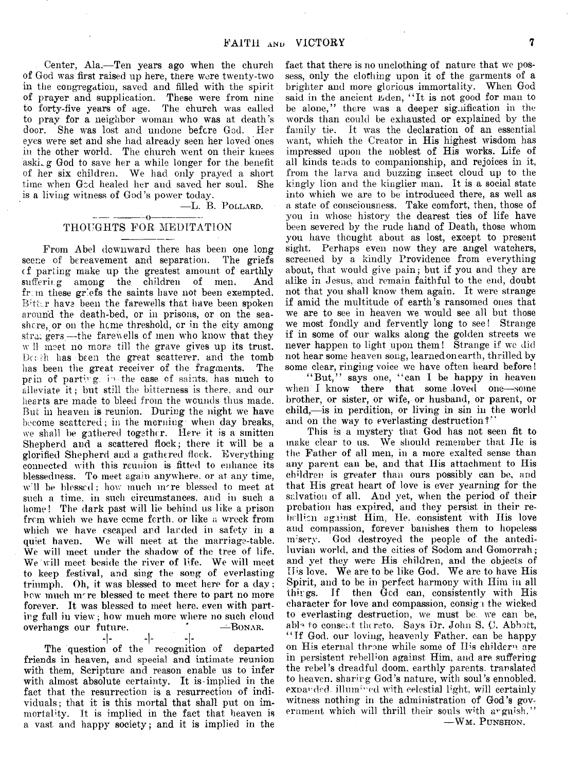**Center, Ala.—Ten years ago when the church of God was first raised up here, there were twenty-two in the congregation, saved and filled with the spirit of prayer and supplication. These were from nine to forty-five years of age. The church was called to pray for a neighbor woman who was at death's door. She was lost and undone before God. Her eyes were set and she had already seen her loved ones in the other world. The church went on their knees aski. g God to save her a while longer for the benefit** of her six children. We had only prayed a short **time when God healed her and saved her soul. She is a living witness of God's power today.**

**—L.** B. P ollard.

### ---------------- ()------------------ **THOUGHTS FOR MEDITATION**

**From Abel downward there has been one long** scene of bereavement and separation. **cf parting make up the greatest amount of earthly** suffering among the children of men. fr: m these griefs the saints have not been exempted. Bitter have been the farewells that have been spoken **around the death-bed, or in prisons, or on the seashore, or on the heme threshold, or in the city among stra: gers—the farewells of men who know that they w'll meet no more till the grave gives up its trust. Dc; ;h lias been the great scatterer. and the tomb has been the great receiver of the fragments. The** pain of parting, in the case of saints, has much to alleviate it; but still the bitterness is there, and our **hearts are made to bleed from the wounds thus made. But in heaven is reunion. During the night we have become scattered; in the morning when day breaks, we shall be gathered together. Here it is a smitten Shepherd and a scattered flock; there it will be a glorified Shepherd and a gathered flock. Everything connected with this reunion is fitted to enhance its blessedness. To meet again anywhere, or at any time,** will be blessed; how much mere blessed to meet at **such a time, in such circumstances, and in such a home! The dark past will lie behind us like a prison from which we have ccme forth, or like a wreck from which we have escaped and larded in safety in a quiet haven. We will meet at the marriage-table. We will meet under the shadow of the tree of life. We will meet beside the river of life. We will meet to keep festival, and sing the song of everlasting triumph. Oh, it was blessed to meet here for a day; bow much imre blessed tc meet there to part no more forever. It was blessed to meet here, even with parting full in view; how much more where no such cloud**  $overhangs$  our future.

**-I- -I- -I-**

**The question of the recognition of departed friends in heaven, and special and intimate reunion with them, Scripture and reason enable us to infer with almost absolute certainty. It is implied in the fact that the resurrection is a resurrection of individuals; that it is this mortal that shall put on im**mortality. It is implied in the fact that heaven is **a vast and happy society; and it is implied in the**

**fact that there is no unclothing of nature that we possess, only the clothing upon it of the garments of a brighter and more glorious immortality. When God** said in the ancient Eden, "It is not good for man to **be alone," there was a deeper signification in the words than could be exhausted or explained by the family tie. It was the declaration of an essential want, which the Creator in His highest wisdom has impressed upon the noblest of His works. Life of all kinds tends to companionship, and rejoices in it, from the larva and buzzing insect cloud up to the kingly lion and the kinglier man. It is a social state into which we are to be introduced there, as well as a state of consciousness. Take comfort, then, those of you in whose history the dearest ties of life have been severed by the rude hand of Death, those whom you have thought about as lost, except to present sight. Perhaps even now they are angel watchers, screened by a kindly Providence from everything about, that would give pain; but if you and they are alike in Jesus, and remain faithful to the end, doubt** not that you shall know them again. It were strange **if amid the multitude of earth's ransomed ones that** we are to see in heaven we would see all but those **we most fondly and fervently long to see! Strange if in some of our walks along the golden streets we never happen to light upon them! Strange if we did not hear some heaven song, learned on earth, thrilled by some clear, ringing voice we have often heard before!**

**" But," says one, " can I be happy in heaven** when I know there that some loved one-some **brother, or sister, or wrife, or husband, or parent, or child,—is in perdition, or living in sin in the world** and on the way to everlasting destruction?"

**This is a mystery that God has not seen fit to make clear to us. We should remember that He is the Father of all men, in a more exalted sense than any parent can be, and that His attachment to His children is greater than ours possibly can be, and that His great heart of love is ever yearning for the salvation of all. And yet, when the period of their** prebation has expired, and they persist in their re**bellion against Him, He. consistent with His love and compassion, forever banishes them to hopeless misery. God destroyed the people of the antediluvian world, and the cities of Sodom and Gomorrah; and yet they were His children, and the objects of His love. We are to be like God. We are to have His Spirit, and to be in perfect harmony with Him in all thugs. If then God can, consistently with His character for love and compassion, eonsig** 1 **the wicked to everlasting destruction, we must be. we can be, able to consent thereto. Says Dr. John S. 0. Abbott, " If God. our loving, heavenly Father, can be happy** on His eternal throne while some of His childern are in persistent rebellion against Him, and are suffering **the rebel's dreadful doom, earthly parents, translated to heaven, sharing God's nature, with soul's ennobled,** expanded. illumined with celestial light, will certainly **witness nothing in the administration of God's gov**ernment which will thrill their souls with anguish." **— Wm. P unshon.**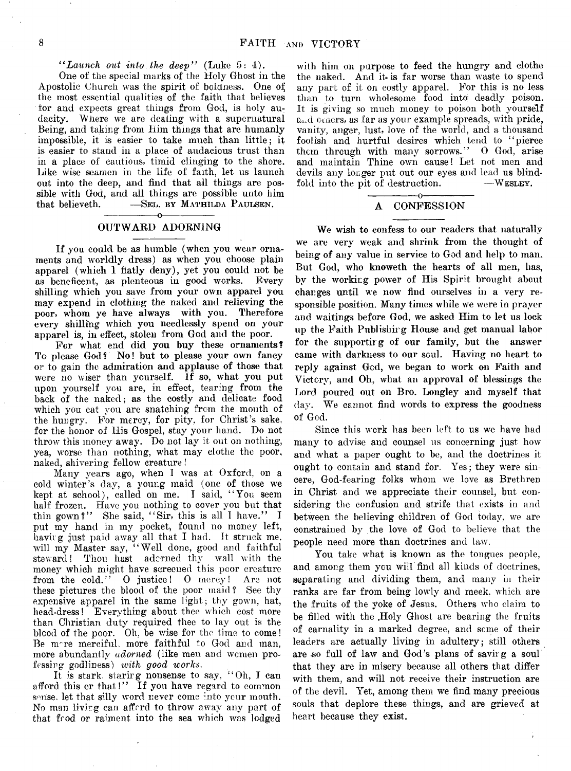## *" Launch out into the deep"* **(Luke 5: 4).**

One of the special marks of the Hely Ghost in the **Apostolic Church was the spirit of boldness. One of the most essential qualities of the faith that believes for and expects great things from God, is holy audacity. "Where we are dealing with a supernatural Being, and taking from Him things that are humanly impossible, it is easier to take much than little; it is easier to stand in a place of audacious trust than in a place of cautious, timid clinging to the shore. Like wise seamen in the life of faith, let us launch out into the deep, and find that all things are possible with God, and all things are possible unto him**  $\begin{bmatrix} -\text{SetL} & \text{BY} & \text{MatrixLDA} & \text{PAULSEN.} \\ \hline \end{bmatrix}$ 

## **--------------- o------------— OUTWARD ADORNING**

**If you could be as humble (when you wear ornaments and worldly dress) as when you choose plain** apparel (which 1 flatly deny), yet you could not be<br>as beneficent, as plenteous in good works. Every as beneficent, as plenteous in good works. **shilling which you save from your own apparel you may expend in clothing the naked and relieving the poor, whom ye have always with you. Therefore every shilling which you needlessly spend on your apparel is, in effect, stolen from God and the poor.**

**For what end did you buy these ornaments?** To please God? No! but to please your own fancy **or to gain the admiration and applause of those that were no wiser than yourself. If so, what you put upon yourself you are, in effect, tearing from the back of the naked; as the costly and delicate food** which you eat you are snatching from the mouth of **the hungry. For mercy, for pity, for Christ's sake, for the honor of His Gospel, stay your hand. Do not throw this money away. Do not lay it out on nothing, yea, worse than nothing, what may clothe the poor, naked, shivering fellow creature!**

**Many years ago, when 1 was at Oxford, on a cold winter's day, a young maid (one of those we kept at school), called on me. I said, " You seem half frozen. Have you nothing to cover you but that thin gown?" She said, " Sir, this is all 1 have." I put my hand in my pocket, found no money left, having just paid away all that I had. It struck me, will my Master say, " Well done, good and faithful steward! Thou hast adorned thy wall with the** money which might have screened this poor creature<br>from the cold." O justice! O mercy! Are not **follogieral from the cold interval or**  $\mathbf{r}$  **or**  $\mathbf{r}$  **or**  $\mathbf{r}$  **or**  $\mathbf{r}$  **or**  $\mathbf{r}$  **or**  $\mathbf{r}$  **or**  $\mathbf{r}$  **or**  $\mathbf{r}$  **or**  $\mathbf{r}$  **or**  $\mathbf{r}$  **or**  $\mathbf{r}$  **or**  $\mathbf{r}$  **or**  $\mathbf{r}$  **these pictures the blood of the poor maid? See thy expensive apparel in the same light; thy gown, hat, head-dress! Everything about thee which cost more** than Christian duty required thee to lay out is the **blood of the poor. Oh, be wise for the time to come! Be nrre merciful, more faithful to God and man, more abundantly** *adorned* **(like men and women professing godliness)** *tvith good works.*

**It is stark, staring nonsense to say. " Oh, I can afford this or that!" If you have regard to common sense, let that silly word never come :nto your mouth. No man living can afford to throw away any part of that food or raiment into the sea which was lodged**

**with him on purpose to feed the hungry and clothe the naked. And it-is far worse than waste to spend any part of it on costly apparel. For this is no less than to turn wholesome food into; deadly poison. It is giving so much money to poison both yourself** and others, as far as your example spreads, with pride, **vanity, anger, lust, love of the world, and a thousand foolish and hurtful desires which tend to " pierce them through with many sorrows." 0 God, arise and maintain Thine own cause! Let not. men and devils any longer put out our eyes and lead us blind**fold into the pit of destruction.

#### **---------------o--------------- A CONFESSION**

**We wish to confess to our readers that naturally we are very weak and shrink from the thought of being of any value in service to God and help to man. But God, who knoweth the hearts of all men, has, by the working power of His Spirit brought about changes until we now find ourselves in a very responsible position. Many times while we were in prayer and waitings before God, we asked Him to let us lock up the Faith Publishing House and get manual labor for the supporting of our family, but the answer** came with darkness to our soul. Having no heart to **reply against God, we began to work on Faith and Victory, and Oh, what an approval of blessings the Lord poured out on Bro. Longley and myself that day. We cannot find words to express the goodness of God.**

**Since this work has been left to us we have had many to advise and counsel us concerning just how and what a paper ought to be, and the doctrines it ought to contain and stand for. Yes; they were sincere, God-fearing folks whom we love as Brethren in Christ and we appreciate their counsel, but considering the confusion and strife that exists in and between the believing children of God today, we are constrained by the love of God to believe that the people need more than doctrines and law.**

**You take what is known as the tongues people, and among them ycu will find all kinds of doctrines, separating and dividing them, and many in their ranks are far from being lowly and meek, which are the fruits of the yoke of Jesus. Others who claim to** be filled with the Holy Ghost are bearing the fruits **of carnality in a marked degree, and seme of their leaders are actually living in adultery; still others are -so full of law and God's plans of saving a soul that they are in misery because all others that differ with them, and will not receive their instruction are of the devil. Yet, among them we find many precious souls that deplore these things, and are grieved at heart because they exist.**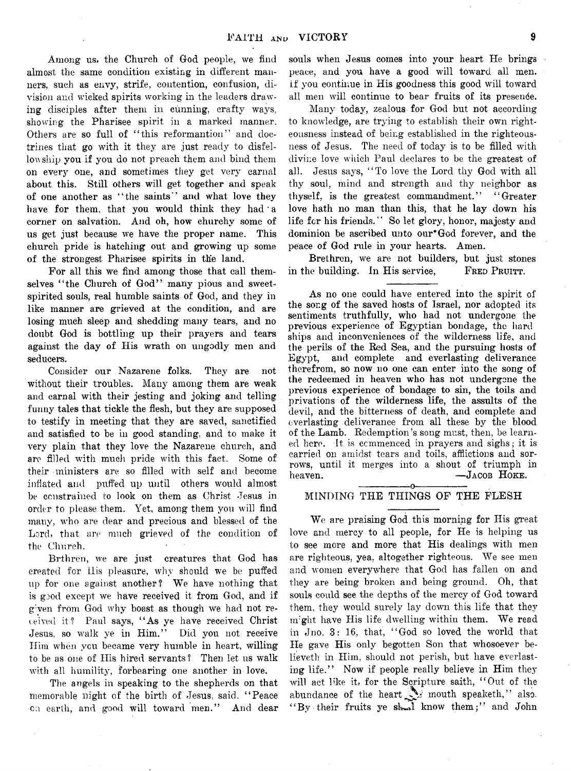**Among us, the Church of God people, we find almost the same condition existing in different manners, such as envy, strife, contention, confusion, division and wicked spirits working in the leaders drawing disciples after them in cunning, crafty ways, showing the Pharisee spirit in a marked manner.** Others are so full of "this reformantion" and doc**trines that go with it they are just ready to disfellowship you if you do not preach them and bind them on every one, and sometimes they get very carnal about this. Still others will get together and speak of one another as " the saints" and what love they** have for them, that you would think they had a **corner on salvation. And oh, how churchy some of us get just because we have the proper name. This church pride is hatching out and growing up some of the strongest Pharisee spirits in the land.**

**For all this we find among those that call them**selves "the Church of God" many pious and sweet**spirited souls, real humble saints of God, and they in like manner are grieved at the condition, and are losing much sleep and shedding many tears, and no doubt God is bottling up their prayers and tears against the day of His wrath on ungodly men and seducers.**

**Consider our Nazarene folks. They are not without their troubles. Many among them are weak and carnal with their jesting and joking and telling funny tales that tickle the flesh, but they are supposed to testify in meeting that they are saved, sanctified and satisfied to be in good standing, and to make it very plain that they love the Nazarene church, and are filled with much pride with this fact. Some of their ministers are so filled with self and become inflated and puffed up until others would almost be constrained to look on them as Christ Jesus in order to please them. Yet, among them you will find many, who are dear and precious and blessed of the Lord, that are much grieved of the condition of the Church.**

**Brthren, we are just creatures that God has created for 11 is pleasure, why should we be puffed up for one against another? We have nothing that is good except we have received it from God, and if given from God why boast as though we had not revived it? Paul says, " As ye have received Christ Jesus, so walk ye in Him." Did you not receive Him when vcu became very humble in heart, willing to be as one of His hired servants? Then let us walk with all humility, forbearing one another in love.**

**The angels in speaking to the shepherds on that memorable night of the birth of Jesus, said, " Peace on earth, and good will toward men." And dear** **souls when Jesus comes into your heart He brings peace, and you have a good will toward all men. if you continue in His goodness this good will toward all men will continue to bear fruits of its presence.**

**Many today, zealous for God but not according to knowledge, are trying to establish their own righteousness instead of being established in the righteousness of Jesus. The need of today is to be filled with divine love which Paul declares to be the greatest of all. Jesus says, " To love the Lord thy God with all thy soul, mind and strength and thy neighbor as thyself, is the greatest commandment." " Greater love hath no man than this, that he lay down his life for his friends." So let glory, honor, majesty and dominion be ascribed unto our\* God forever, and the peace of God rule in your hearts. Amen.**

**Brethren, we are not builders, but just stones** in the building. In His service, FRED PRUITT.

**As no one could have entered into the spirit of the sor.g of the saved hosts of Israel, nor adopted its sentiments truthfully, who had not undergone the previous experience of Egyptian bondage, the hard ships and inconveniences of the wilderness life, and the perils of the Rad Sea, and the pursuing hosts of Egypt, and complete and everlasting deliverance therefrom, so now no one can enter into the song of the redeemed in heaven who has not undergone the previous experience of bondage to sin, the toils and privations of the wilderness life, the assults of the devil, and the bitterness of death, and complete and everlasting deliverance from all these by the blood of the Lamb. Redemption's song must, then, be learned here. It is commenced in prayers and sighs; it is carried on amidst tears and toils, afflictions and sorrows, until it merges into a shout of triumph in** heaven. —*J***<sub>ACOB</sub> HOKE. ---------------o---------------**

## **MINDING THE THINGS OF THE FLESH**

**We are praising God this morning for Ilis great love and mercy to all people, for He is helping us to see more and more that His dealings with men are righteous, yea, altogether righteous. We see men and women everywhere that God has fallen on and they are being broken and being ground. Oh, that souls could see the depths of the mercy of God toward them, they would surely lay down this life that they** might have His life dwelling within them. We read **in Jno. 3: 16, that, " God so loved the world that He gave His only begotten Son that whosoever believeth in Him, should not perish, but have everlasting life." Now if people really believe in Him they will act like it, for the Scripture saith, " Out of the** abundance of the heart **we mouth speaketh,**" also. **" By their fruits ye sk»d know them;" and John**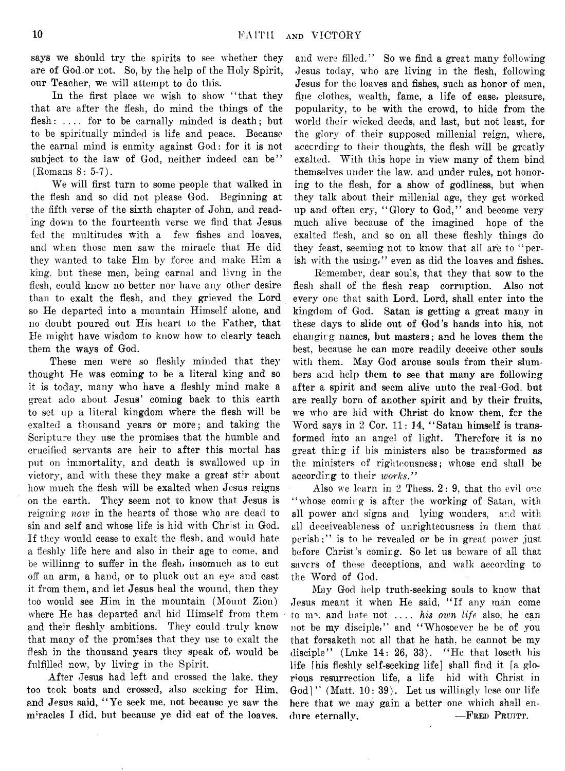**says we should try the spirits to see whether they are of God-or not. So, by the help of the Holy Spirit, our Teacher, we will attempt to do this.**

**In the first place we wish to show ' ' that they that are after the flesh, do mind the things of the flesh: .... for to be carnally minded is death; but to be spiritually minded is life and peace. Because the carnal mind is enmity against God: for it is not subject to the law of God, neither indeed can be" (Romans 8: 5-7).**

**We will first turn to some people that walked in the flesh and so did not please God. Beginning at the fifth verse of the sixth chapter of John, and reading down to the fourteenth verse we find that Jesus fed the multitudes With a few fishes and loaves, and when those men saw the miracle that He did they wanted to take Hrn by force and make Him a king, but these men, being carnal and livng in the flesh, could knew no better nor have any other desire than to exalt the flesh, and they grieved the Lord so He departed into a mountain Himself alone, and no doubt poured out His heart to the Father, that He might have wisdom to know how to clearly teach them the ways of God.**

**These men were so fleshly minded that they thought He was coming to be a literal king and so it is today, many who have a fleshly mind make a great ado about Jesus' coming back to this earth to set up a literal kingdom where the flesh will be exalted a thousand years or more; and taking the Scripture they use the promises that the humble and crucified servants are heir to after this mortal has put on immortality, and death is swallowed up in victory, and with these they make a great stir about how much the flesh will be exalted when Jesus reigns on the earth. They seem not to know that Jesus is reigning** *now* **in the hearts of those who are dead to sin and self and whose life is hid with Christ in God. If they would cease to exalt the flesh, and would hate a fleshly life here and also in their age to come, and be willinng to suffer in the flesh, insomuch as to cut off an arm, a hand, or to pluck out an eye and cast it from them, and let Jesus heal the wound, then they too would see Him in the mountain (Mount Zion) where He has departed and hid Himself from them and their fleshly ambitions. They could truly know that many of the promises that they use to exalt the flesh in the thousand years they speak of, would be fulfilled now, by livirg in the Spirit.**

**After Jesus had left and crossed the lake, they too took boats and crossed, also seeking for Him, and Jesus said, " Ye seek me, not because ye saw the** miracles I did, but because ye did eat of the loaves.

**and were filled." So we find a great many following Jesus today, who are living in the flesh, following Jesus for the loaves and fishes, such as honor of men, fine clothes, wealth, fame, a life of ease, pleasure, popularity, to be with the crowd, to hide from the world their wicked deeds, and last, but not least, for the glory of their supposed millenial reign, where, according to their thoughts, the flesh will be greatly exalted. With this hope in view many of them bind themselves under the law. and under rules, not honoring to the flesh, for a show of godliness, but when they talk about their millenial age, they get worked up and often cry, " Glory to God," and become very much alive because of the imagined hope of the exalted flesh, and so on all these fleshly things do they feast, seeming not to know that all are to " perish with the using," even as did the loaves and fishes.**

**Remember, dear souls, that they that sow to the flesh shall of the flesh reap corruption. Also not every one that saith Lord, Lord, shall enter into the kingdom of God. Satan is getting a great many in these days to slide out of God's hands into his, not changing names, but masters; and he loves them the best, because he can more readily deceive other souls with them. May God arouse souls from their slumbers and help them to see that many are following after a spirit and seem alive unto the real-God. but are really born of another spirit and by their fruits, we who are hid with Christ do know them, for the Word says in 2 Cor. 11: 14, " Satan himself is transformed into an angel of light. Therefore it is no great thing if his ministers also be transformed as the ministers of righteousness; whose end shall be according to their** *works."*

Also we learn in 2 Thess. 2: 9, that the evil one **" whose coming is after the working of Satan, with all power and signs and lying wonders, and with all deceiveableness of unrighteousness in them that perish;" is to be revealed or be in great power just before Christ's coming. So let us beware of all that savers of these deceptions, and walk according to the Word of God.**

**May God help truth-seeking souls to know that** Jesus meant it when He said, "If any man come **to nr1, and hate not ....** *his own life* **also, he can not be my disciple," and " Whosoever he be of you that forsaketh not all that he hath, he cannot be my disciple" (Luke 14: 26, 33). " He that loseth his life [his fleshly self-seeking life] shall find it fa glorious resurrection life, a life hid with Christ in God] " (Matt. 10: 39). Let us willingly lose our life here that we may gain a better one which shall en**dure eternally,  $-$ **FRED** PRUITT.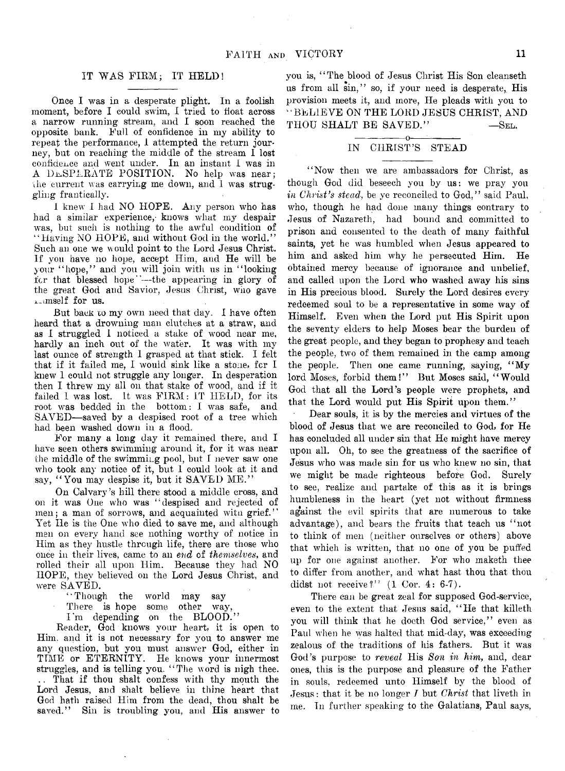## **IT WAS FIRM; IT HELD!**

**Once I was in a desperate plight. In a foolish moment, before I could swim, I tried to float across a narrow running stream, and I soon reached the opposite bank. Full of confidence in my ability to repeat the performance, 1 attempted the return journey, but on reaching the middle of the stream I lost confidence and went under. In an instant I was in A DESPERATE POSITION. No help was near;** the current was carrying me down, and I was strug**gling frantically.**

**I knew I had NO HOPE. Any person who has** had a similar experience, knows what my despair was, but such is nothing to the awful condition of **" Having NO HOPE, and without God in the world."** Such an one we would point to the Lord Jesus Christ. **If you have no hope, accept Him, and He will be your " hope," and you will join witli us in " looking for that blessed hope"—the appearing in glory of the great God and Savior, Jesus Christ, who gave Anmself for us.**

**But back to my own need that day. I have often heard that a drowning man clutches at a straw, and as I struggled 1 noticed a stake of wood near me, hardly an inch out of the water. It was with my last ounce of strength 1 grasped at that stick. I felt that if it failed me, I would sink like a stone, for I knew 1 could not struggle any longer. In desperation then I threw my all on that stake of wood, and if it failed I was lost, it was FIRM : IT HELD, for its root was bedded in the bottom: I was safe, and SAVED—saved by a despised root of a tree which had been washed down in a flood.**

**For many a long day it remained there, and I have seen others swimming around it, for it was near the middle of the swimming pool, but I never saw one who took any notice of it, but 1 could look at it and say, " You may despise it, but it SAVED ME."**

**On Calvary's hill there stood a middle cross, and** on it was One who was "despised and rejected of **men; a man of sorrows, and acquainted witn grief. ' ' Yet He is the One who died to save me, and although men on every hand see nothing worthy of notice in Him as they hustle through life, there are those who once in their lives, came to an** *end* **of** *themselves,* **and rolled their all upon Him. Because they had NO HOPE, they believed on the Lord Jesus Christ, and were SAVED.**

**" Though the world may say**

**There is hope some other way,**

**I 'm depending on the BLOOD."**

**Reader, God knows your heart, it is open to Him. and it is not necessary for you to answer me any question, but you must answer God, either in TIME or ETERNITY. He knows your innermost struggles, and is telling you. " The word is nigh thee. .. That if thou shalt confess with thy mouth the Lord Jesus, and shalt believe in thine heart that God hath raised Him from the dead, thou shalt be saved." Sin is troubling you, and His answer to**

**you is, " The blood of Jesus Christ His Son cleanseth us from all sin," so, if your need is desperate, His provision meets it, and more, He pleads with you to " BELIEVE ON THE LORD JESUS CHRIST, AND THOU SHALT BE SAVED." — See.**

## **---------------O-----:--------- IN CHRIST'S STEAD**

"Now then we are ambassadors for Christ, as **though God did beseech you by us: we pray you** *in Christ's stead,* **be ye reconciled to God," said Paul, who, though he had done many things contrary to Jesus of Nazareth, had bound and committed to prison and consented to the death of many faithful saints, yet he was humbled when Jesus appeared to him and asked him why he persecuted Him. He obtained mercy because of Ignorance and unbelief, and called upon the Lord who washed away his sins in His precious blood. Surely the Lord desires every redeemed soul to be a representative in some way of Himself. Even when the Lord put His Spirit upon the seventy elders to help Moses bear the burden of the great people, and they began to prophesy and teach** the people, two of them remained in the camp among **the people. Then one came running, saying, " My lord Moses, forbid them!" But Moses said, " Would God that all the Lord's people were prophets, and** that the Lord would put His Spirit upon them."

**Dear souls, it is by the mercies and virtues of the blood of Jesus that we are reconciled to God. for He has concluded all under sin that He might have mercy upon all. Oh, to see the greatness of the sacrifice of Jesus who was made sin for us who knew no sin, that we might be made righteous before God. Surely to see, realize and partake of this as it is brings** humbleness in the heart (yet not without firmness **against the evil spirits that are numerous to take advantage), and bears the fruits that teach us " not to think of men (neither ourselves or others) above that which is written, that no one of you be puffed up for one against another. For who maketh thee to differ from another, and what hast thou that thou didst not receive?" (1 Cor. 4: 6-7).**

**There can be great zeal for supposed God-service, even to the extent that Jesus said, " He that killeth you will think that he doeth God service," even as** Paul when he was halted that mid-day, was exceeding **zealous of the traditions of his fathers. But it was God's purpose to** *reveal* **His** *Son in him,* **and, dear ones, this is the purpose and pleasure of the Father in souls, redeemed unto Himself by the blood of Jesus: that it be no longer 7 but** *Christ* **that liveth in me. Tn further speaking to the Galatians, Paul says,**